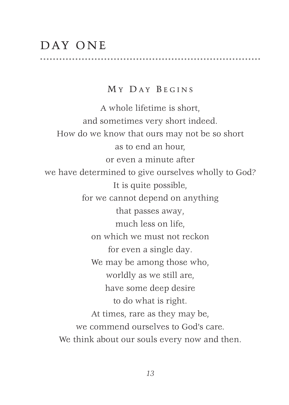## DAY ONE

## MY DAY BEGINS

A whole lifetime is short, and sometimes very short indeed. How do we know that ours may not be so short as to end an hour, or even a minute after we have determined to give ourselves wholly to God? It is quite possible, for we cannot depend on anything that passes away, much less on life, on which we must not reckon for even a single day. We may be among those who, worldly as we still are, have some deep desire to do what is right. At times, rare as they may be, we commend ourselves to God's care. We think about our souls every now and then.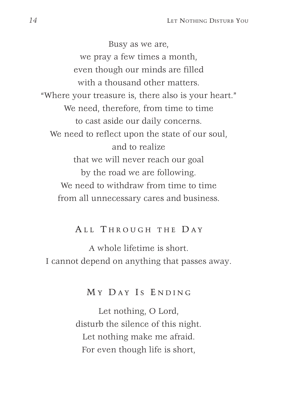Busy as we are, we pray a few times a month, even though our minds are filled with a thousand other matters. "Where your treasure is, there also is your heart." We need, therefore, from time to time to cast aside our daily concerns. We need to reflect upon the state of our soul, and to realize that we will never reach our goal by the road we are following. We need to withdraw from time to time from all unnecessary cares and business.

## ALL THROUGH THE DAY

A whole lifetime is short. I cannot depend on anything that passes away.

## MY DAY IS ENDING

Let nothing, O Lord, disturb the silence of this night. Let nothing make me afraid. For even though life is short,